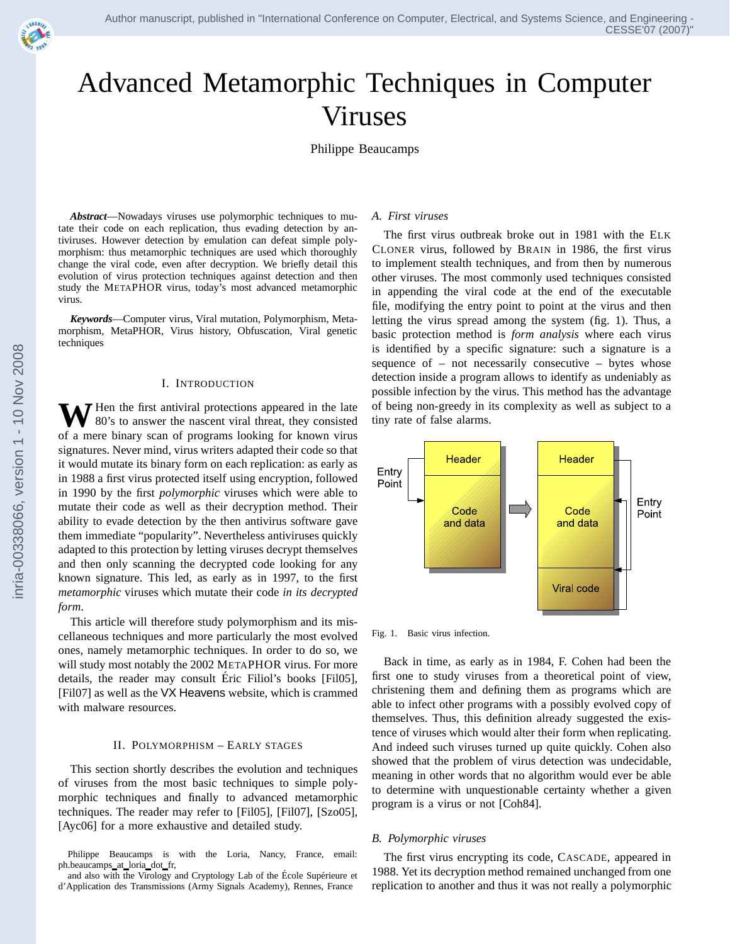# Advanced Metamorphic Techniques in Computer Viruses

Philippe Beaucamps

*Abstract*—Nowadays viruses use polymorphic techniques to mutate their code on each replication, thus evading detection by antiviruses. However detection by emulation can defeat simple polymorphism: thus metamorphic techniques are used which thoroughly change the viral code, even after decryption. We briefly detail this evolution of virus protection techniques against detection and then study the METAPHOR virus, today's most advanced metamorphic virus.

*Keywords*—Computer virus, Viral mutation, Polymorphism, Metamorphism, MetaPHOR, Virus history, Obfuscation, Viral genetic techniques

#### I. INTRODUCTION

**V** Hen the first antiviral protections appeared in the late 80's to answer the nascent viral threat, they consisted of a mere binary scan of programs looking for known virus signatures. Never mind, virus writers adapted their code so that it would mutate its binary form on each replication: as early as in 1988 a first virus protected itself using encryption, followed in 1990 by the first *polymorphic* viruses which were able to mutate their code as well as their decryption method. Their ability to evade detection by the then antivirus software gave them immediate "popularity". Nevertheless antiviruses quickly adapted to this protection by letting viruses decrypt themselves and then only scanning the decrypted code looking for any known signature. This led, as early as in 1997, to the first *metamorphic* viruses which mutate their code *in its decrypted form*.

This article will therefore study polymorphism and its miscellaneous techniques and more particularly the most evolved ones, namely metamorphic techniques. In order to do so, we will study most notably the 2002 METAPHOR virus. For more details, the reader may consult Eric Filiol's books [Fil05], ´ [Fil07] as well as the VX Heavens website, which is crammed with malware resources.

#### II. POLYMORPHISM – EARLY STAGES

This section shortly describes the evolution and techniques of viruses from the most basic techniques to simple polymorphic techniques and finally to advanced metamorphic techniques. The reader may refer to [Fil05], [Fil07], [Szo05], [Ayc06] for a more exhaustive and detailed study.

Philippe Beaucamps is with the Loria, Nancy, France, email: ph.beaucamps\_at\_loria\_dot\_fr,

and also with the Virology and Cryptology Lab of the École Supérieure et d'Application des Transmissions (Army Signals Academy), Rennes, France

#### *A. First viruses*

The first virus outbreak broke out in 1981 with the ELK CLONER virus, followed by BRAIN in 1986, the first virus to implement stealth techniques, and from then by numerous other viruses. The most commonly used techniques consisted in appending the viral code at the end of the executable file, modifying the entry point to point at the virus and then letting the virus spread among the system (fig. 1). Thus, a basic protection method is *form analysis* where each virus is identified by a specific signature: such a signature is a sequence of – not necessarily consecutive – bytes whose detection inside a program allows to identify as undeniably as possible infection by the virus. This method has the advantage of being non-greedy in its complexity as well as subject to a tiny rate of false alarms.



Fig. 1. Basic virus infection.

Back in time, as early as in 1984, F. Cohen had been the first one to study viruses from a theoretical point of view, christening them and defining them as programs which are able to infect other programs with a possibly evolved copy of themselves. Thus, this definition already suggested the existence of viruses which would alter their form when replicating. And indeed such viruses turned up quite quickly. Cohen also showed that the problem of virus detection was undecidable, meaning in other words that no algorithm would ever be able to determine with unquestionable certainty whether a given program is a virus or not [Coh84].

#### *B. Polymorphic viruses*

The first virus encrypting its code, CASCADE, appeared in 1988. Yet its decryption method remained unchanged from one replication to another and thus it was not really a polymorphic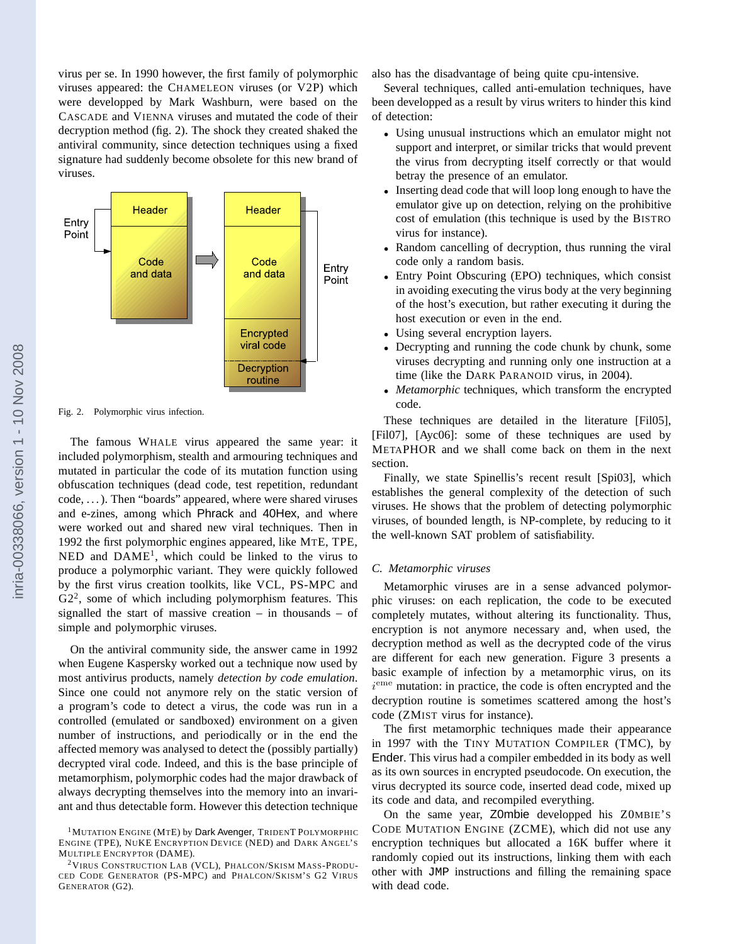virus per se. In 1990 however, the first family of polymorphic viruses appeared: the CHAMELEON viruses (or V2P) which were developped by Mark Washburn, were based on the CASCADE and VIENNA viruses and mutated the code of their decryption method (fig. 2). The shock they created shaked the antiviral community, since detection techniques using a fixed signature had suddenly become obsolete for this new brand of viruses.



Fig. 2. Polymorphic virus infection.

The famous WHALE virus appeared the same year: it included polymorphism, stealth and armouring techniques and mutated in particular the code of its mutation function using obfuscation techniques (dead code, test repetition, redundant code, . . . ). Then "boards" appeared, where were shared viruses and e-zines, among which Phrack and 40Hex, and where were worked out and shared new viral techniques. Then in 1992 the first polymorphic engines appeared, like MTE, TPE,  $NED$  and  $DAME<sup>1</sup>$ , which could be linked to the virus to produce a polymorphic variant. They were quickly followed by the first virus creation toolkits, like VCL, PS-MPC and  $G2<sup>2</sup>$ , some of which including polymorphism features. This signalled the start of massive creation – in thousands – of simple and polymorphic viruses.

On the antiviral community side, the answer came in 1992 when Eugene Kaspersky worked out a technique now used by most antivirus products, namely *detection by code emulation*. Since one could not anymore rely on the static version of a program's code to detect a virus, the code was run in a controlled (emulated or sandboxed) environment on a given number of instructions, and periodically or in the end the affected memory was analysed to detect the (possibly partially) decrypted viral code. Indeed, and this is the base principle of metamorphism, polymorphic codes had the major drawback of always decrypting themselves into the memory into an invariant and thus detectable form. However this detection technique also has the disadvantage of being quite cpu-intensive.

Several techniques, called anti-emulation techniques, have been developped as a result by virus writers to hinder this kind of detection:

- Using unusual instructions which an emulator might not support and interpret, or similar tricks that would prevent the virus from decrypting itself correctly or that would betray the presence of an emulator.
- Inserting dead code that will loop long enough to have the emulator give up on detection, relying on the prohibitive cost of emulation (this technique is used by the BISTRO virus for instance).
- Random cancelling of decryption, thus running the viral code only a random basis.
- Entry Point Obscuring (EPO) techniques, which consist in avoiding executing the virus body at the very beginning of the host's execution, but rather executing it during the host execution or even in the end.
- Using several encryption layers.
- Decrypting and running the code chunk by chunk, some viruses decrypting and running only one instruction at a time (like the DARK PARANOID virus, in 2004).
- *Metamorphic* techniques, which transform the encrypted code.

These techniques are detailed in the literature [Fil05], [Fil07], [Ayc06]: some of these techniques are used by METAPHOR and we shall come back on them in the next section.

Finally, we state Spinellis's recent result [Spi03], which establishes the general complexity of the detection of such viruses. He shows that the problem of detecting polymorphic viruses, of bounded length, is NP-complete, by reducing to it the well-known SAT problem of satisfiability.

# *C. Metamorphic viruses*

Metamorphic viruses are in a sense advanced polymorphic viruses: on each replication, the code to be executed completely mutates, without altering its functionality. Thus, encryption is not anymore necessary and, when used, the decryption method as well as the decrypted code of the virus are different for each new generation. Figure 3 presents a basic example of infection by a metamorphic virus, on its i<sup>eme</sup> mutation: in practice, the code is often encrypted and the decryption routine is sometimes scattered among the host's code (ZMIST virus for instance).

The first metamorphic techniques made their appearance in 1997 with the TINY MUTATION COMPILER (TMC), by Ender. This virus had a compiler embedded in its body as well as its own sources in encrypted pseudocode. On execution, the virus decrypted its source code, inserted dead code, mixed up its code and data, and recompiled everything.

On the same year, Z0mbie developped his Z0MBIE'S CODE MUTATION ENGINE (ZCME), which did not use any encryption techniques but allocated a 16K buffer where it randomly copied out its instructions, linking them with each other with JMP instructions and filling the remaining space with dead code.

<sup>&</sup>lt;sup>1</sup>MUTATION ENGINE (MTE) by Dark Avenger, TRIDENT POLYMORPHIC ENGINE (TPE), NUKE ENCRYPTION DEVICE (NED) and DARK ANGEL'S MULTIPLE ENCRYPTOR (DAME).

<sup>&</sup>lt;sup>2</sup>VIRUS CONSTRUCTION LAB (VCL), PHALCON/SKISM MASS-PRODU-CED CODE GENERATOR (PS-MPC) and PHALCON/SKISM'S G2 VIRUS GENERATOR (G2).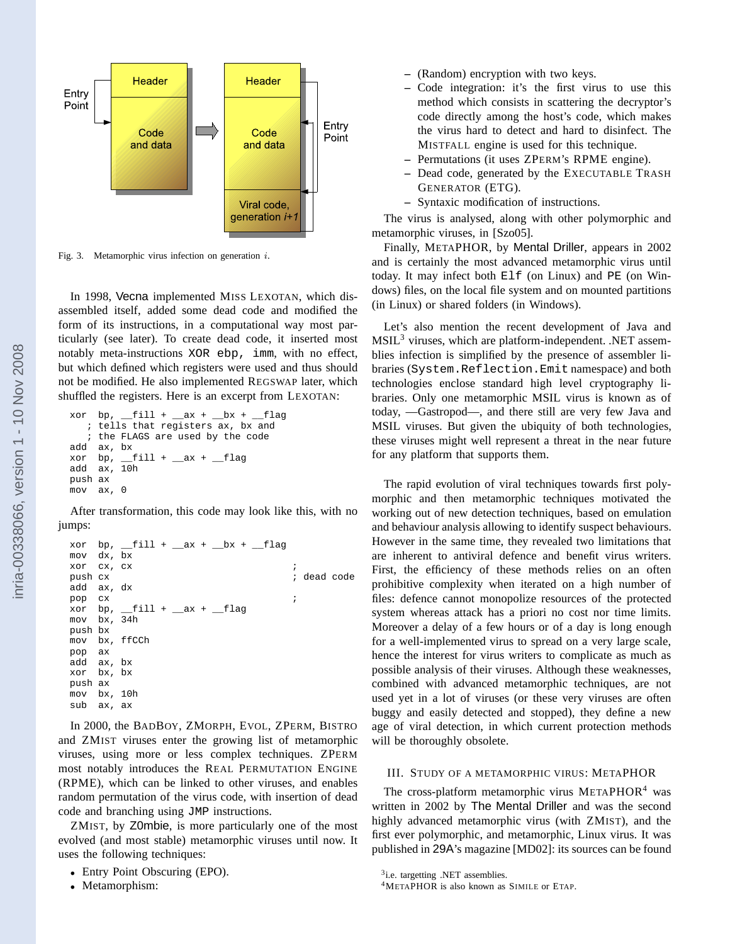

Fig. 3. Metamorphic virus infection on generation i.

In 1998, Vecna implemented MISS LEXOTAN, which disassembled itself, added some dead code and modified the form of its instructions, in a computational way most particularly (see later). To create dead code, it inserted most notably meta-instructions XOR ebp, imm, with no effect, but which defined which registers were used and thus should not be modified. He also implemented REGSWAP later, which shuffled the registers. Here is an excerpt from LEXOTAN:

```
xor bp, \underline{\hspace{1cm}}fill + \underline{\hspace{1cm}}ax + \underline{\hspace{1cm}}bx + \underline{\hspace{1cm}}flag
     ; tells that registers ax, bx and
      ; the FLAGS are used by the code
add ax, bx
xor bp, \underline{\hspace{1cm}}fill + \underline{\hspace{1cm}}ax + \underline{\hspace{1cm}}flag
add ax, 10h
push ax
mov ax,
```
After transformation, this code may look like this, with no jumps:

```
xor bp, \underline{\hspace{1cm}}fill + \underline{\hspace{1cm}}ax + \underline{\hspace{1cm}}bx + \underline{\hspace{1cm}}flag
mov dx, bx
xor cx, cx ;
push cx ; dead code
add ax, dx
pop cx \qquad \qquad ;xor bp, _{f}ill + _{ax} + _{f}lag
mov bx, 34h
push bx
mov bx, ffCCh
pop ax
add ax, bx
xor bx, bx
push ax
mov bx, 10h
sub ax, ax
```
In 2000, the BADBOY, ZMORPH, EVOL, ZPERM, BISTRO and ZMIST viruses enter the growing list of metamorphic viruses, using more or less complex techniques. ZPERM most notably introduces the REAL PERMUTATION ENGINE (RPME), which can be linked to other viruses, and enables random permutation of the virus code, with insertion of dead code and branching using JMP instructions.

ZMIST, by Z0mbie, is more particularly one of the most evolved (and most stable) metamorphic viruses until now. It uses the following techniques:

• Metamorphism:

- **–** (Random) encryption with two keys.
- **–** Code integration: it's the first virus to use this method which consists in scattering the decryptor's code directly among the host's code, which makes the virus hard to detect and hard to disinfect. The MISTFALL engine is used for this technique.
- **–** Permutations (it uses ZPERM's RPME engine).
- **–** Dead code, generated by the EXECUTABLE TRASH GENERATOR (ETG).
- **–** Syntaxic modification of instructions.

The virus is analysed, along with other polymorphic and metamorphic viruses, in [Szo05].

Finally, METAPHOR, by Mental Driller, appears in 2002 and is certainly the most advanced metamorphic virus until today. It may infect both Elf (on Linux) and PE (on Windows) files, on the local file system and on mounted partitions (in Linux) or shared folders (in Windows).

Let's also mention the recent development of Java and MSIL<sup>3</sup> viruses, which are platform-independent. .NET assemblies infection is simplified by the presence of assembler libraries (System.Reflection.Emit namespace) and both technologies enclose standard high level cryptography libraries. Only one metamorphic MSIL virus is known as of today, —Gastropod—, and there still are very few Java and MSIL viruses. But given the ubiquity of both technologies, these viruses might well represent a threat in the near future for any platform that supports them.

The rapid evolution of viral techniques towards first polymorphic and then metamorphic techniques motivated the working out of new detection techniques, based on emulation and behaviour analysis allowing to identify suspect behaviours. However in the same time, they revealed two limitations that are inherent to antiviral defence and benefit virus writers. First, the efficiency of these methods relies on an often prohibitive complexity when iterated on a high number of files: defence cannot monopolize resources of the protected system whereas attack has a priori no cost nor time limits. Moreover a delay of a few hours or of a day is long enough for a well-implemented virus to spread on a very large scale, hence the interest for virus writers to complicate as much as possible analysis of their viruses. Although these weaknesses, combined with advanced metamorphic techniques, are not used yet in a lot of viruses (or these very viruses are often buggy and easily detected and stopped), they define a new age of viral detection, in which current protection methods will be thoroughly obsolete.

# III. STUDY OF A METAMORPHIC VIRUS: METAPHOR

The cross-platform metamorphic virus  $METAPHOR<sup>4</sup>$  was written in 2002 by The Mental Driller and was the second highly advanced metamorphic virus (with ZMIST), and the first ever polymorphic, and metamorphic, Linux virus. It was published in 29A's magazine [MD02]: its sources can be found

<sup>•</sup> Entry Point Obscuring (EPO).

<sup>&</sup>lt;sup>3</sup>i.e. targetting .NET assemblies.

<sup>4</sup>METAPHOR is also known as SIMILE or ETAP.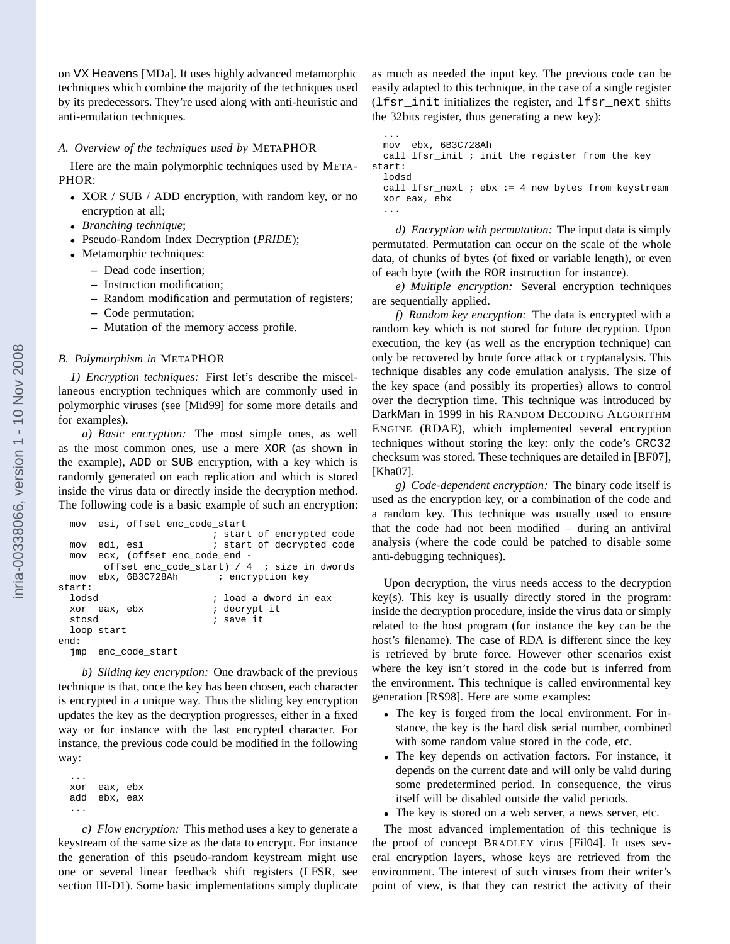on VX Heavens [MDa]. It uses highly advanced metamorphic techniques which combine the majority of the techniques used by its predecessors. They're used along with anti-heuristic and anti-emulation techniques.

# *A. Overview of the techniques used by* METAPHOR

Here are the main polymorphic techniques used by META-PHOR:

- XOR / SUB / ADD encryption, with random key, or no encryption at all;
- *Branching technique*;
- Pseudo-Random Index Decryption (*PRIDE*);
- Metamorphic techniques:
	- **–** Dead code insertion;
	- **–** Instruction modification;
	- **–** Random modification and permutation of registers;
	- **–** Code permutation;
	- **–** Mutation of the memory access profile.

## *B. Polymorphism in* METAPHOR

*1) Encryption techniques:* First let's describe the miscellaneous encryption techniques which are commonly used in polymorphic viruses (see [Mid99] for some more details and for examples).

*a) Basic encryption:* The most simple ones, as well as the most common ones, use a mere XOR (as shown in the example), ADD or SUB encryption, with a key which is randomly generated on each replication and which is stored inside the virus data or directly inside the decryption method. The following code is a basic example of such an encryption:

```
mov esi, offset enc_code_start
                           ; start of encrypted code
 mov edi, esi \qquad i start of decrypted code
 mov ecx, (offset enc_code_end -
       offset enc_code_start) / 4 ; size in dwords
 mov ebx, 6B3C728Ah ; encryption key
start:
 lodsd ; load a dword in eax
 xor eax, ebx               ; decrypt it<br>stosd                  ; save it
                           ; save it
 loop start
end:
  jmp enc_code_start
```
*b) Sliding key encryption:* One drawback of the previous technique is that, once the key has been chosen, each character is encrypted in a unique way. Thus the sliding key encryption updates the key as the decryption progresses, either in a fixed way or for instance with the last encrypted character. For instance, the previous code could be modified in the following way:

... xor eax, ebx add ebx, eax ...

*c) Flow encryption:* This method uses a key to generate a keystream of the same size as the data to encrypt. For instance the generation of this pseudo-random keystream might use one or several linear feedback shift registers (LFSR, see section III-D1). Some basic implementations simply duplicate as much as needed the input key. The previous code can be easily adapted to this technique, in the case of a single register (lfsr\_init initializes the register, and lfsr\_next shifts the 32bits register, thus generating a new key):

```
...
mov ebx, 6B3C728Ah
```

```
call lfsr_init ; init the register from the key
start:
 lodsd
```
call lfsr\_next  $i$  ebx := 4 new bytes from keystream xor eax, ebx ...

*d) Encryption with permutation:* The input data is simply permutated. Permutation can occur on the scale of the whole data, of chunks of bytes (of fixed or variable length), or even of each byte (with the ROR instruction for instance).

*e) Multiple encryption:* Several encryption techniques are sequentially applied.

*f) Random key encryption:* The data is encrypted with a random key which is not stored for future decryption. Upon execution, the key (as well as the encryption technique) can only be recovered by brute force attack or cryptanalysis. This technique disables any code emulation analysis. The size of the key space (and possibly its properties) allows to control over the decryption time. This technique was introduced by DarkMan in 1999 in his RANDOM DECODING ALGORITHM ENGINE (RDAE), which implemented several encryption techniques without storing the key: only the code's CRC32 checksum was stored. These techniques are detailed in [BF07], [Kha07].

*g) Code-dependent encryption:* The binary code itself is used as the encryption key, or a combination of the code and a random key. This technique was usually used to ensure that the code had not been modified – during an antiviral analysis (where the code could be patched to disable some anti-debugging techniques).

Upon decryption, the virus needs access to the decryption key(s). This key is usually directly stored in the program: inside the decryption procedure, inside the virus data or simply related to the host program (for instance the key can be the host's filename). The case of RDA is different since the key is retrieved by brute force. However other scenarios exist where the key isn't stored in the code but is inferred from the environment. This technique is called environmental key generation [RS98]. Here are some examples:

- The key is forged from the local environment. For instance, the key is the hard disk serial number, combined with some random value stored in the code, etc.
- The key depends on activation factors. For instance, it depends on the current date and will only be valid during some predetermined period. In consequence, the virus itself will be disabled outside the valid periods.
- The key is stored on a web server, a news server, etc.

The most advanced implementation of this technique is the proof of concept BRADLEY virus [Fil04]. It uses several encryption layers, whose keys are retrieved from the environment. The interest of such viruses from their writer's point of view, is that they can restrict the activity of their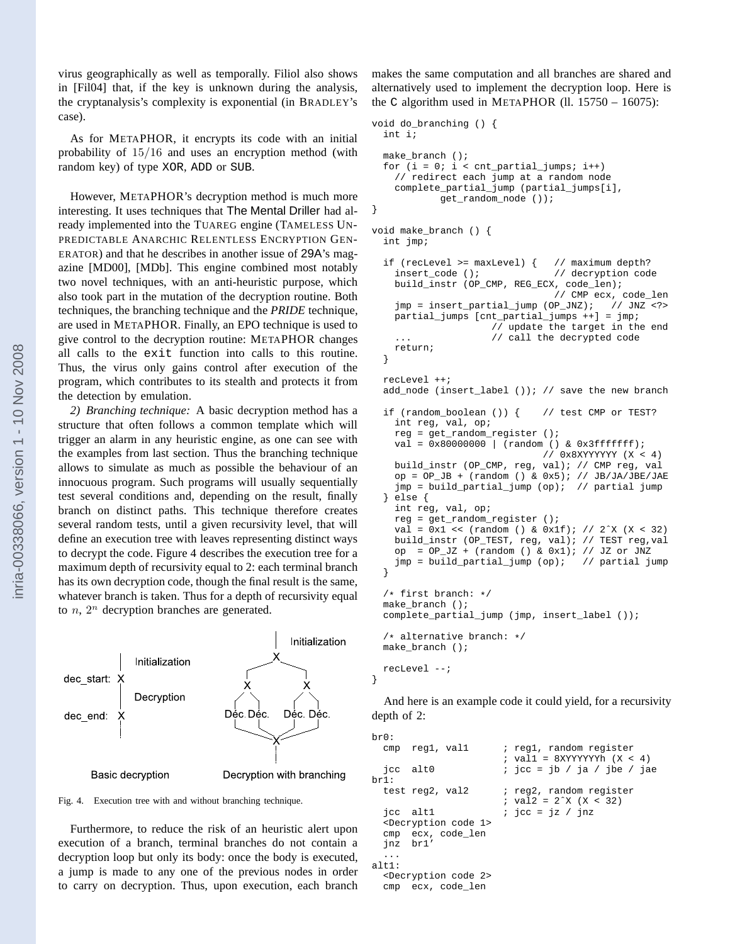virus geographically as well as temporally. Filiol also shows in [Fil04] that, if the key is unknown during the analysis, the cryptanalysis's complexity is exponential (in BRADLEY's case).

As for METAPHOR, it encrypts its code with an initial probability of 15/16 and uses an encryption method (with random key) of type XOR, ADD or SUB.

However, METAPHOR's decryption method is much more interesting. It uses techniques that The Mental Driller had already implemented into the TUAREG engine (TAMELESS UN-PREDICTABLE ANARCHIC RELENTLESS ENCRYPTION GEN-ERATOR) and that he describes in another issue of 29A's magazine [MD00], [MDb]. This engine combined most notably two novel techniques, with an anti-heuristic purpose, which also took part in the mutation of the decryption routine. Both techniques, the branching technique and the *PRIDE* technique, are used in METAPHOR. Finally, an EPO technique is used to give control to the decryption routine: METAPHOR changes all calls to the exit function into calls to this routine. Thus, the virus only gains control after execution of the program, which contributes to its stealth and protects it from the detection by emulation.

*2) Branching technique:* A basic decryption method has a structure that often follows a common template which will trigger an alarm in any heuristic engine, as one can see with the examples from last section. Thus the branching technique allows to simulate as much as possible the behaviour of an innocuous program. Such programs will usually sequentially test several conditions and, depending on the result, finally branch on distinct paths. This technique therefore creates several random tests, until a given recursivity level, that will define an execution tree with leaves representing distinct ways to decrypt the code. Figure 4 describes the execution tree for a maximum depth of recursivity equal to 2: each terminal branch has its own decryption code, though the final result is the same, whatever branch is taken. Thus for a depth of recursivity equal to  $n$ ,  $2^n$  decryption branches are generated.



Fig. 4. Execution tree with and without branching technique.

Furthermore, to reduce the risk of an heuristic alert upon execution of a branch, terminal branches do not contain a decryption loop but only its body: once the body is executed, a jump is made to any one of the previous nodes in order to carry on decryption. Thus, upon execution, each branch

makes the same computation and all branches are shared and alternatively used to implement the decryption loop. Here is the C algorithm used in METAPHOR (ll.  $15750 - 16075$ ):

```
void do_branching () {
 int i;
 make_branch ();
 for (i = 0; i < \text{cnt\_partial\_jumps}; i++)// redirect each jump at a random node
   complete_partial_jump (partial_jumps[i],
           get_random_node ());
}
void make_branch () {
 int jmp;
 if (recLevel >= maxLevel) { // maximum depth?
   insert_code (); // decryption code
   build_instr (OP_CMP, REG_ECX, code_len);
                                // CMP ecx, code_len
   jmp = insert_partial_jump (OP_JNZ); // JNZ <?>
   partial_jumps [cnt_partial_jumps ++] = jmp;
                     // update the target in the end
                     // call the decrypted code
   return;
  }
 recLevel ++;
 add_node (insert_label ()); // save the new branch
 if (random_boolean ()) { // test CMP or TEST?
   int reg, val, op;
   reg = get_random_register ();
   val = 0x80000000 | (random () & 0x3fffffff);
                              // 0x8XYYYYYY (X < 4)
   build_instr (OP_CMP, reg, val); // CMP reg, val
   op = OP\_JB + (random () & 0x5); // JB/JA/JBE/JAEjmp = build_partial_jump (op); // partial jump
 } else {
   int reg, val, op;
   reg = get_random_register ();
   val = 0x1 << (random () & 0x1f); // 2^x (X < 32)
   build_instr (OP_TEST, reg, val); // TEST reg,val
   op = OP_JZ + (random () & 0x1); // JZ or JNZ
   jmp = build_partial_jump (op); // partial jump
  }
  /* first branch: */
 make_branch ();
 complete_partial_jump (jmp, insert_label ());
  /* alternative branch: */
 make_branch ();
 recLevel --;
```
And here is an example code it could yield, for a recursivity depth of 2:

}

```
br0:
 cmp reg1, val1 ; reg1, random register
                      ; val1 = 8XYYYYYYh (X < 4)jcc alt0 ; jcc = jb / ja / jbe / jae
brl:<br>test reg2, val2
                      ; reg2, random register
                      ; val2 = 2^x (X < 32)
  jcc altl \qquad ; jcc = jz / jnz
 <Decryption code 1>
 cmp ecx, code_len
 jnz br1'
  ...
alt1:
 <Decryption code 2>
 cmp ecx, code_len
```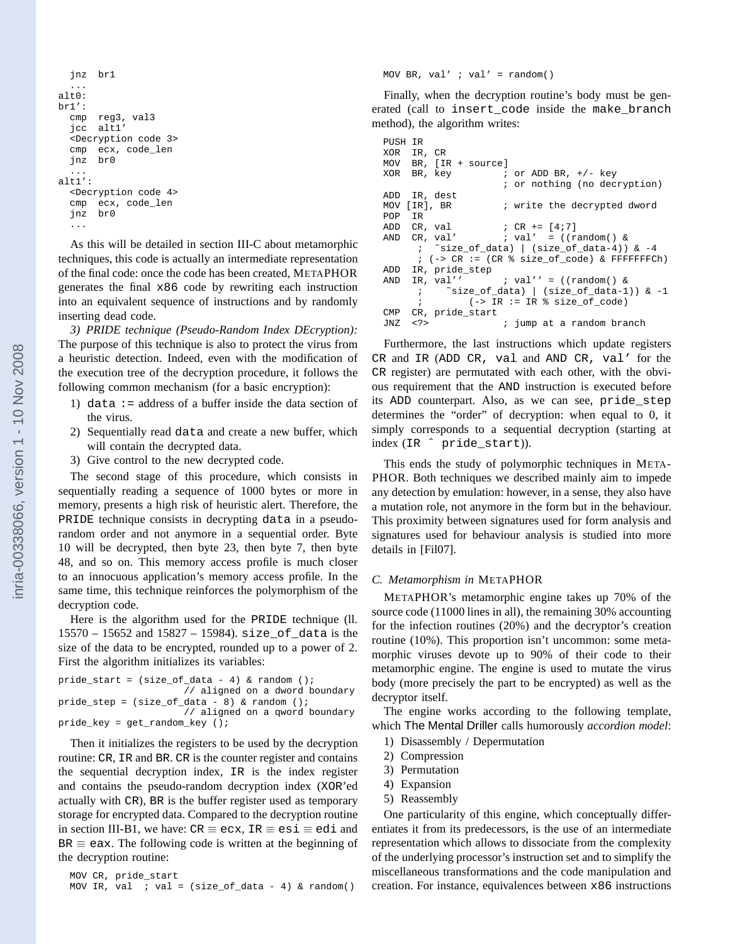```
jnz br1
  ...
alt0:
br1':
  cmp reg3, val3
  jcc alt1'
  <Decryption code 3>
  cmp ecx, code_len
  jnz br0
  ...
alt1':
  <Decryption code 4>
  cmp ecx, code_len
  jnz br0
  ...
```
As this will be detailed in section III-C about metamorphic techniques, this code is actually an intermediate representation of the final code: once the code has been created, METAPHOR generates the final x86 code by rewriting each instruction into an equivalent sequence of instructions and by randomly inserting dead code.

*3) PRIDE technique (Pseudo-Random Index DEcryption):* The purpose of this technique is also to protect the virus from a heuristic detection. Indeed, even with the modification of the execution tree of the decryption procedure, it follows the following common mechanism (for a basic encryption):

- 1) data := address of a buffer inside the data section of the virus.
- 2) Sequentially read data and create a new buffer, which will contain the decrypted data.
- 3) Give control to the new decrypted code.

The second stage of this procedure, which consists in sequentially reading a sequence of 1000 bytes or more in memory, presents a high risk of heuristic alert. Therefore, the PRIDE technique consists in decrypting data in a pseudorandom order and not anymore in a sequential order. Byte 10 will be decrypted, then byte 23, then byte 7, then byte 48, and so on. This memory access profile is much closer to an innocuous application's memory access profile. In the same time, this technique reinforces the polymorphism of the decryption code.

Here is the algorithm used for the PRIDE technique (ll. 15570 – 15652 and 15827 – 15984). size\_of\_data is the size of the data to be encrypted, rounded up to a power of 2. First the algorithm initializes its variables:

pride start = (size of data - 4) & random (); // aligned on a dword boundary pride\_step =  $(size_of_data - 8)$  & random (); // aligned on a qword boundary pride\_key = get\_random\_key ();

Then it initializes the registers to be used by the decryption routine: CR, IR and BR. CR is the counter register and contains the sequential decryption index, IR is the index register and contains the pseudo-random decryption index (XOR'ed actually with CR), BR is the buffer register used as temporary storage for encrypted data. Compared to the decryption routine in section III-B1, we have:  $CR \equiv ecx$ ,  $IR \equiv esi \equiv edi$  and  $BR \equiv eax$ . The following code is written at the beginning of the decryption routine:

```
MOV CR, pride_start
MOV IR, val i val = (size_of_data - 4) & random()
```
MOV BR, val'  $i$  val' = random()

Finally, when the decryption routine's body must be generated (call to insert\_code inside the make\_branch method), the algorithm writes:

```
PUSH IR
XOR IR, CR
MOV BR, [IR + source]
XOR BR, key i or ADD BR, +/- key
                   ; or nothing (no decryption)
ADD IR, dest
MOV [IR], BR \qquad ; write the decrypted dword
POP IR
ADD CR, val ; CR += [4;7]AND CR, val' ; val' = ((random() &; ˜size_of_data) | (size_of_data-4)) & -4
     ; (-> CR := (CR % size_of_code) & FFFFFFFCh)
ADD IR, pride_step<br>AND IR, val''
AND IR, val'' ; val' = ((random() &; ˜size_of_data) | (size_of_data-1)) & -1
     ; (-> IR := IR \ size_of_code)
CMP CR, pride_start
JNZ <?> ; jump at a random branch
```
Furthermore, the last instructions which update registers CR and IR (ADD CR, val and AND CR, val' for the CR register) are permutated with each other, with the obvious requirement that the AND instruction is executed before its ADD counterpart. Also, as we can see, pride\_step determines the "order" of decryption: when equal to 0, it simply corresponds to a sequential decryption (starting at index (IR ˆ pride\_start)).

This ends the study of polymorphic techniques in META-PHOR. Both techniques we described mainly aim to impede any detection by emulation: however, in a sense, they also have a mutation role, not anymore in the form but in the behaviour. This proximity between signatures used for form analysis and signatures used for behaviour analysis is studied into more details in [Fil07].

## *C. Metamorphism in* METAPHOR

METAPHOR's metamorphic engine takes up 70% of the source code (11000 lines in all), the remaining 30% accounting for the infection routines (20%) and the decryptor's creation routine (10%). This proportion isn't uncommon: some metamorphic viruses devote up to 90% of their code to their metamorphic engine. The engine is used to mutate the virus body (more precisely the part to be encrypted) as well as the decryptor itself.

The engine works according to the following template, which The Mental Driller calls humorously *accordion model*:

- 1) Disassembly / Depermutation
- 2) Compression
- 3) Permutation
- 4) Expansion
- 5) Reassembly

One particularity of this engine, which conceptually differentiates it from its predecessors, is the use of an intermediate representation which allows to dissociate from the complexity of the underlying processor's instruction set and to simplify the miscellaneous transformations and the code manipulation and creation. For instance, equivalences between x86 instructions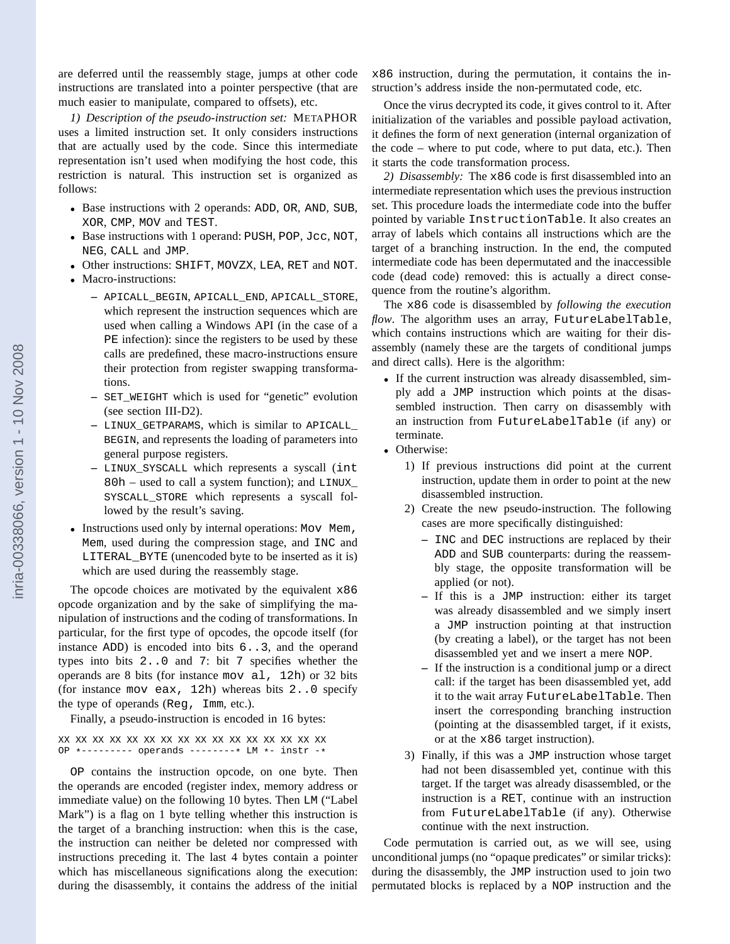are deferred until the reassembly stage, jumps at other code instructions are translated into a pointer perspective (that are much easier to manipulate, compared to offsets), etc.

*1) Description of the pseudo-instruction set:* METAPHOR uses a limited instruction set. It only considers instructions that are actually used by the code. Since this intermediate representation isn't used when modifying the host code, this restriction is natural. This instruction set is organized as follows:

- Base instructions with 2 operands: ADD, OR, AND, SUB, XOR, CMP, MOV and TEST.
- Base instructions with 1 operand: PUSH, POP, Jcc, NOT, NEG, CALL and JMP.
- Other instructions: SHIFT, MOVZX, LEA, RET and NOT.
- Macro-instructions:
	- **–** APICALL\_BEGIN, APICALL\_END, APICALL\_STORE, which represent the instruction sequences which are used when calling a Windows API (in the case of a PE infection): since the registers to be used by these calls are predefined, these macro-instructions ensure their protection from register swapping transformations.
	- **–** SET\_WEIGHT which is used for "genetic" evolution (see section III-D2).
	- **–** LINUX\_GETPARAMS, which is similar to APICALL\_ BEGIN, and represents the loading of parameters into general purpose registers.
	- **–** LINUX\_SYSCALL which represents a syscall (int 80h – used to call a system function); and LINUX\_ SYSCALL\_STORE which represents a syscall followed by the result's saving.
- Instructions used only by internal operations: Mov Mem, Mem, used during the compression stage, and INC and LITERAL\_BYTE (unencoded byte to be inserted as it is) which are used during the reassembly stage.

The opcode choices are motivated by the equivalent x86 opcode organization and by the sake of simplifying the manipulation of instructions and the coding of transformations. In particular, for the first type of opcodes, the opcode itself (for instance ADD) is encoded into bits 6..3, and the operand types into bits 2..0 and 7: bit 7 specifies whether the operands are 8 bits (for instance mov al, 12h) or 32 bits (for instance mov eax, 12h) whereas bits 2..0 specify the type of operands (Reg, Imm, etc.).

Finally, a pseudo-instruction is encoded in 16 bytes:

XX XX XX XX XX XX XX XX XX XX XX XX XX XX XX XX OP \*--------- operands --------\* LM \*- instr -\*

OP contains the instruction opcode, on one byte. Then the operands are encoded (register index, memory address or immediate value) on the following 10 bytes. Then LM ("Label Mark") is a flag on 1 byte telling whether this instruction is the target of a branching instruction: when this is the case, the instruction can neither be deleted nor compressed with instructions preceding it. The last 4 bytes contain a pointer which has miscellaneous significations along the execution: during the disassembly, it contains the address of the initial

x86 instruction, during the permutation, it contains the instruction's address inside the non-permutated code, etc.

Once the virus decrypted its code, it gives control to it. After initialization of the variables and possible payload activation, it defines the form of next generation (internal organization of the code – where to put code, where to put data, etc.). Then it starts the code transformation process.

*2) Disassembly:* The x86 code is first disassembled into an intermediate representation which uses the previous instruction set. This procedure loads the intermediate code into the buffer pointed by variable InstructionTable. It also creates an array of labels which contains all instructions which are the target of a branching instruction. In the end, the computed intermediate code has been depermutated and the inaccessible code (dead code) removed: this is actually a direct consequence from the routine's algorithm.

The x86 code is disassembled by *following the execution flow*. The algorithm uses an array, FutureLabelTable, which contains instructions which are waiting for their disassembly (namely these are the targets of conditional jumps and direct calls). Here is the algorithm:

- If the current instruction was already disassembled, simply add a JMP instruction which points at the disassembled instruction. Then carry on disassembly with an instruction from FutureLabelTable (if any) or terminate.
- Otherwise:
	- 1) If previous instructions did point at the current instruction, update them in order to point at the new disassembled instruction.
	- 2) Create the new pseudo-instruction. The following cases are more specifically distinguished:
		- **–** INC and DEC instructions are replaced by their ADD and SUB counterparts: during the reassembly stage, the opposite transformation will be applied (or not).
		- **–** If this is a JMP instruction: either its target was already disassembled and we simply insert a JMP instruction pointing at that instruction (by creating a label), or the target has not been disassembled yet and we insert a mere NOP.
		- **–** If the instruction is a conditional jump or a direct call: if the target has been disassembled yet, add it to the wait array FutureLabelTable. Then insert the corresponding branching instruction (pointing at the disassembled target, if it exists, or at the x86 target instruction).
	- 3) Finally, if this was a JMP instruction whose target had not been disassembled yet, continue with this target. If the target was already disassembled, or the instruction is a RET, continue with an instruction from FutureLabelTable (if any). Otherwise continue with the next instruction.

Code permutation is carried out, as we will see, using unconditional jumps (no "opaque predicates" or similar tricks): during the disassembly, the JMP instruction used to join two permutated blocks is replaced by a NOP instruction and the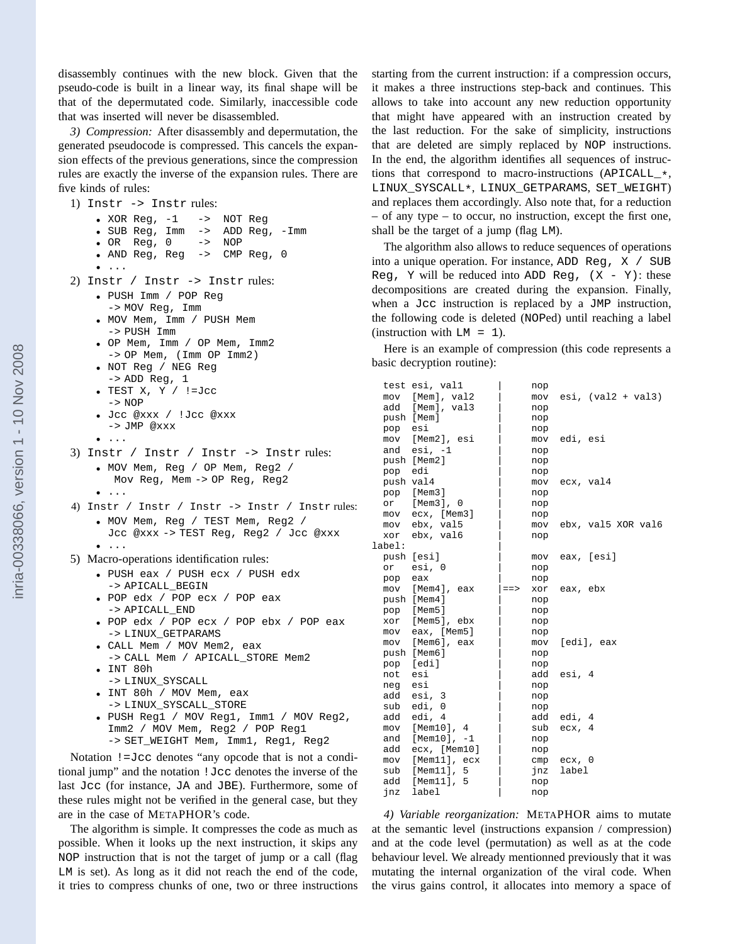disassembly continues with the new block. Given that the pseudo-code is built in a linear way, its final shape will be that of the depermutated code. Similarly, inaccessible code that was inserted will never be disassembled.

*3) Compression:* After disassembly and depermutation, the generated pseudocode is compressed. This cancels the expansion effects of the previous generations, since the compression rules are exactly the inverse of the expansion rules. There are five kinds of rules:

1) Instr -> Instr rules:

```
• XOR Reg, -1 \rightarrow NOT Reg
• SUB Reg, Imm -> ADD Reg, -Imm
```
• OR Reg, 0 -> NOP

```
• AND Reg, Reg \rightarrow
```
- ...
- 2) Instr / Instr -> Instr rules:
	- PUSH Imm / POP Reg -> MOV Reg, Imm
	- MOV Mem, Imm / PUSH Mem -> PUSH Imm
	- OP Mem, Imm / OP Mem, Imm2 -> OP Mem, (Imm OP Imm2)
	- NOT Reg / NEG Reg -> ADD Reg, 1
	- TEST X, Y / !=Jcc -> NOP
	- Jcc @xxx / !Jcc @xxx  $->$  JMP @xxx
	- ...

• ...

- 3) Instr / Instr / Instr -> Instr rules: • MOV Mem, Reg / OP Mem, Reg2 /
	- Mov Reg, Mem -> OP Reg, Reg2
	- ...
- 4) Instr / Instr / Instr -> Instr / Instr rules:
	- MOV Mem, Reg / TEST Mem, Reg2 / Jcc @xxx -> TEST Reg, Reg2 / Jcc @xxx
- 5) Macro-operations identification rules:
	- PUSH eax / PUSH ecx / PUSH edx -> APICALL\_BEGIN
	- POP edx / POP ecx / POP eax -> APICALL\_END
	- POP edx / POP ecx / POP ebx / POP eax -> LINUX\_GETPARAMS
	- CALL Mem / MOV Mem2, eax -> CALL Mem / APICALL\_STORE Mem2 • INT 80h
	- -> LINUX\_SYSCALL

```
• INT 80h / MOV Mem, eax
 -> LINUX_SYSCALL_STORE
```
• PUSH Reg1 / MOV Reg1, Imm1 / MOV Reg2, Imm2 / MOV Mem, Reg2 / POP Reg1 -> SET\_WEIGHT Mem, Imm1, Reg1, Reg2

Notation !=Jcc denotes "any opcode that is not a conditional jump" and the notation !Jcc denotes the inverse of the last Jcc (for instance, JA and JBE). Furthermore, some of these rules might not be verified in the general case, but they are in the case of METAPHOR's code.

The algorithm is simple. It compresses the code as much as possible. When it looks up the next instruction, it skips any NOP instruction that is not the target of jump or a call (flag LM is set). As long as it did not reach the end of the code, it tries to compress chunks of one, two or three instructions starting from the current instruction: if a compression occurs, it makes a three instructions step-back and continues. This allows to take into account any new reduction opportunity that might have appeared with an instruction created by the last reduction. For the sake of simplicity, instructions that are deleted are simply replaced by NOP instructions. In the end, the algorithm identifies all sequences of instructions that correspond to macro-instructions  $(APICALL, *),$ LINUX\_SYSCALL\*, LINUX\_GETPARAMS, SET\_WEIGHT) and replaces them accordingly. Also note that, for a reduction – of any type – to occur, no instruction, except the first one, shall be the target of a jump (flag LM).

The algorithm also allows to reduce sequences of operations into a unique operation. For instance, ADD Reg, X / SUB Reg, Y will be reduced into ADD Reg,  $(X - Y)$ : these decompositions are created during the expansion. Finally, when a Jcc instruction is replaced by a JMP instruction, the following code is deleted (NOPed) until reaching a label (instruction with  $LM = 1$ ).

Here is an example of compression (this code represents a basic decryption routine):

|         | test esi, vall    |         | nop |                           |
|---------|-------------------|---------|-----|---------------------------|
|         | mov [Mem], val2   |         |     | $mov$ esi, $val2 + val3)$ |
|         | add [Mem], val3   |         | nop |                           |
|         | push [Mem]        |         | nop |                           |
| pop esi |                   |         | nop |                           |
|         | mov [Mem2], esi   |         |     | mov edi, esi              |
|         | and $esi$ , $-1$  |         | nop |                           |
|         | push [Mem2]       |         | nop |                           |
| pop edi |                   |         | nop |                           |
|         | push val4         |         |     | mov ecx, val4             |
|         | pop [Mem3]        |         | nop |                           |
|         | or [Mem3], 0      |         | nop |                           |
|         | mov ecx, [Mem3]   |         | nop |                           |
|         | mov ebx, val5     |         |     | mov ebx, val5 XOR val6    |
|         | xor ebx, val6     |         | nop |                           |
| label:  |                   |         |     |                           |
|         | push [esi]        |         |     | mov eax, [esi]            |
|         | or esi, 0         |         | nop |                           |
| pop eax |                   |         | nop |                           |
|         | mov [Mem4], eax   | $=$ $>$ |     | xor eax, ebx              |
|         | push [Mem4]       |         | nop |                           |
|         | pop [Mem5]        |         | nop |                           |
|         | xor [Mem5], ebx   |         | nop |                           |
|         | mov eax, [Mem5]   |         | nop |                           |
|         | mov [Mem6], eax   |         |     | mov [edi], eax            |
|         | push [Mem6]       |         | nop |                           |
|         | pop [edi]         |         | nop |                           |
| not esi |                   |         |     | add esi, 4                |
| neg esi |                   |         | nop |                           |
|         | add esi, 3        |         | nop |                           |
|         | sub edi, 0        |         | nop |                           |
|         | add edi, 4        |         |     | add edi, 4                |
|         | mov [Mem10], 4    |         |     | sub ecx, 4                |
|         | and $[Mem10], -1$ |         | nop |                           |
|         | add ecx, [Mem10]  |         | nop |                           |
|         | mov [Mem11], ecx  |         |     | $cmp$ $ecx, 0$            |
|         | sub [Mem11], 5    |         |     | jnz label                 |
|         | add [Mem11],<br>5 |         | nop |                           |
|         | jnz label         |         | nop |                           |

*4) Variable reorganization:* METAPHOR aims to mutate at the semantic level (instructions expansion / compression) and at the code level (permutation) as well as at the code behaviour level. We already mentionned previously that it was mutating the internal organization of the viral code. When the virus gains control, it allocates into memory a space of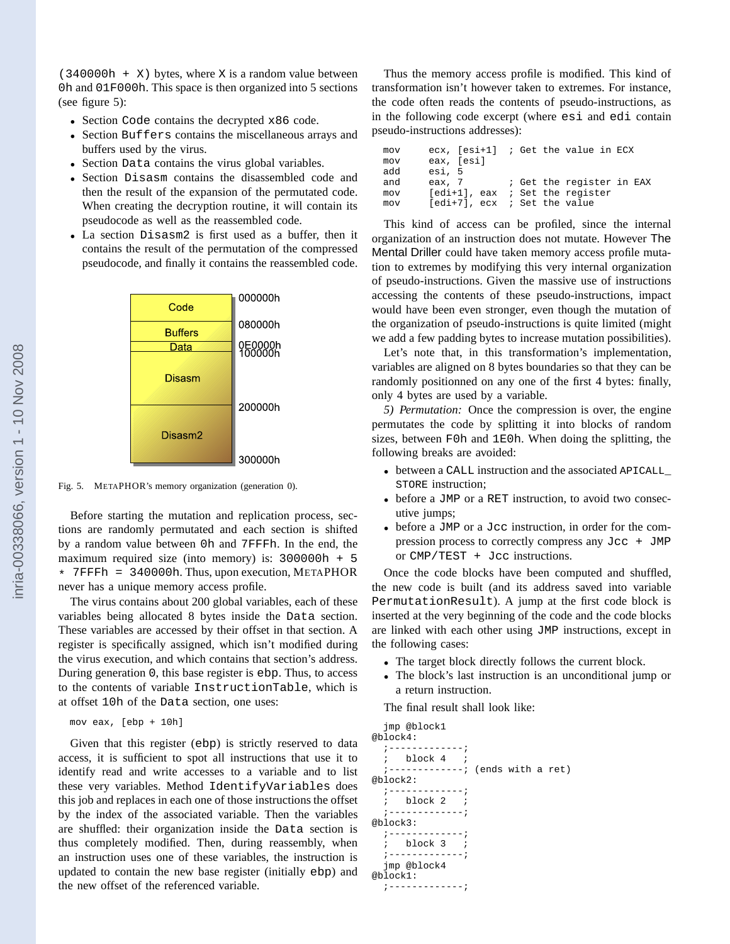$(340000h + X)$  bytes, where X is a random value between 0h and 01F000h. This space is then organized into 5 sections (see figure 5):

- Section Code contains the decrypted x86 code.
- Section Buffers contains the miscellaneous arrays and buffers used by the virus.
- Section Data contains the virus global variables.
- Section Disasm contains the disassembled code and then the result of the expansion of the permutated code. When creating the decryption routine, it will contain its pseudocode as well as the reassembled code.
- La section Disasm2 is first used as a buffer, then it contains the result of the permutation of the compressed pseudocode, and finally it contains the reassembled code.



Fig. 5. METAPHOR's memory organization (generation 0).

Before starting the mutation and replication process, sections are randomly permutated and each section is shifted by a random value between 0h and 7FFFh. In the end, the maximum required size (into memory) is: 300000h + 5 \* 7FFFh = 340000h. Thus, upon execution, METAPHOR never has a unique memory access profile.

The virus contains about 200 global variables, each of these variables being allocated 8 bytes inside the Data section. These variables are accessed by their offset in that section. A register is specifically assigned, which isn't modified during the virus execution, and which contains that section's address. During generation 0, this base register is ebp. Thus, to access to the contents of variable InstructionTable, which is at offset 10h of the Data section, one uses:

```
mov eax, [ebp + 10h]
```
Given that this register (ebp) is strictly reserved to data access, it is sufficient to spot all instructions that use it to identify read and write accesses to a variable and to list these very variables. Method IdentifyVariables does this job and replaces in each one of those instructions the offset by the index of the associated variable. Then the variables are shuffled: their organization inside the Data section is thus completely modified. Then, during reassembly, when an instruction uses one of these variables, the instruction is updated to contain the new base register (initially ebp) and the new offset of the referenced variable.

Thus the memory access profile is modified. This kind of transformation isn't however taken to extremes. For instance, the code often reads the contents of pseudo-instructions, as in the following code excerpt (where esi and edi contain pseudo-instructions addresses):

| mov |            | $ex. [esi+1]$ ; Get the value in ECX |
|-----|------------|--------------------------------------|
| mov | eax, [esi] |                                      |
| add | esi, 5     |                                      |
| and |            | eax, 7 (et the reqister in EAX       |
| mov |            | $[edi+1]$ , eax ; Set the register   |
| mov |            | $[edi+7]$ , ecx ; Set the value      |

This kind of access can be profiled, since the internal organization of an instruction does not mutate. However The Mental Driller could have taken memory access profile mutation to extremes by modifying this very internal organization of pseudo-instructions. Given the massive use of instructions accessing the contents of these pseudo-instructions, impact would have been even stronger, even though the mutation of the organization of pseudo-instructions is quite limited (might we add a few padding bytes to increase mutation possibilities).

Let's note that, in this transformation's implementation, variables are aligned on 8 bytes boundaries so that they can be randomly positionned on any one of the first 4 bytes: finally, only 4 bytes are used by a variable.

*5) Permutation:* Once the compression is over, the engine permutates the code by splitting it into blocks of random sizes, between F0h and 1E0h. When doing the splitting, the following breaks are avoided:

- between a CALL instruction and the associated APICALL\_ STORE instruction;
- before a JMP or a RET instruction, to avoid two consecutive jumps;
- before a JMP or a Jcc instruction, in order for the compression process to correctly compress any  $Jcc + JMP$ or CMP/TEST + Jcc instructions.

Once the code blocks have been computed and shuffled, the new code is built (and its address saved into variable PermutationResult). A jump at the first code block is inserted at the very beginning of the code and the code blocks are linked with each other using JMP instructions, except in the following cases:

- The target block directly follows the current block.
- The block's last instruction is an unconditional jump or a return instruction.

The final result shall look like:

jmp @block1 @block4:  $; - - - -$ ; block 4 ; ;-------------; (ends with a ret) @block2:  $; - - - - - - -$ ; block 2 ; ;-------------; @block3:  $; -$ ; block 3 ; ;-------------; jmp @block4 @block1: ;-------------;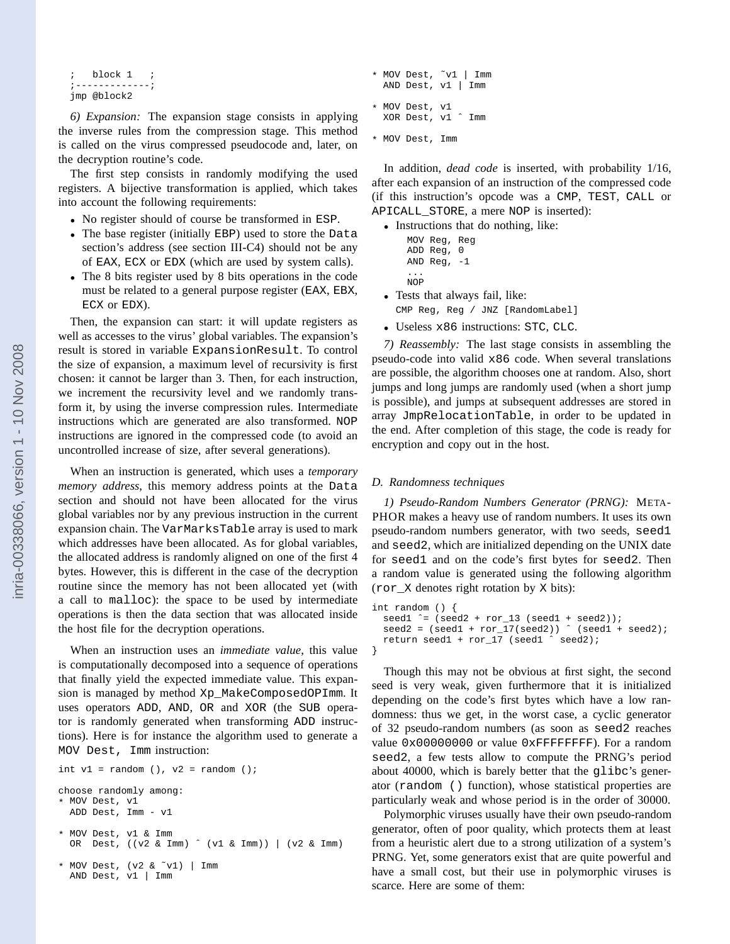```
; block 1
;-------------;
jmp @block2
```
*6) Expansion:* The expansion stage consists in applying the inverse rules from the compression stage. This method is called on the virus compressed pseudocode and, later, on the decryption routine's code.

The first step consists in randomly modifying the used registers. A bijective transformation is applied, which takes into account the following requirements:

- No register should of course be transformed in ESP.
- The base register (initially EBP) used to store the Data section's address (see section III-C4) should not be any of EAX, ECX or EDX (which are used by system calls).
- The 8 bits register used by 8 bits operations in the code must be related to a general purpose register (EAX, EBX, ECX or EDX).

Then, the expansion can start: it will update registers as well as accesses to the virus' global variables. The expansion's result is stored in variable ExpansionResult. To control the size of expansion, a maximum level of recursivity is first chosen: it cannot be larger than 3. Then, for each instruction, we increment the recursivity level and we randomly transform it, by using the inverse compression rules. Intermediate instructions which are generated are also transformed. NOP instructions are ignored in the compressed code (to avoid an uncontrolled increase of size, after several generations).

When an instruction is generated, which uses a *temporary memory address*, this memory address points at the Data section and should not have been allocated for the virus global variables nor by any previous instruction in the current expansion chain. The VarMarksTable array is used to mark which addresses have been allocated. As for global variables, the allocated address is randomly aligned on one of the first 4 bytes. However, this is different in the case of the decryption routine since the memory has not been allocated yet (with a call to malloc): the space to be used by intermediate operations is then the data section that was allocated inside the host file for the decryption operations.

When an instruction uses an *immediate value*, this value is computationally decomposed into a sequence of operations that finally yield the expected immediate value. This expansion is managed by method Xp\_MakeComposedOPImm. It uses operators ADD, AND, OR and XOR (the SUB operator is randomly generated when transforming ADD instructions). Here is for instance the algorithm used to generate a MOV Dest, Imm instruction:

```
int v1 = random (), v2 = random ();
choose randomly among:
* MOV Dest, v1
  ADD Dest, Imm - v1
* MOV Dest, v1 & Imm
  OR Dest, ((v2 & Imm) ˆ (v1 & Imm)) | (v2 & Imm)
 MOV Dest, (v2 & v1) | Imm
  AND Dest, v1 | Imm
```

```
* MOV Dest, ˜v1 | Imm
 AND Dest, v1 | Imm
* MOV Dest, v1
 XOR Dest, v1 ˆ Imm
```

```
* MOV Dest, Imm
```
In addition, *dead code* is inserted, with probability 1/16, after each expansion of an instruction of the compressed code (if this instruction's opcode was a CMP, TEST, CALL or APICALL\_STORE, a mere NOP is inserted):

• Instructions that do nothing, like:

```
MOV Reg, Reg
    ADD Reg, 0
    AND Reg, -1...
    NOP
• Tests that always fail, like:
```
CMP Reg, Reg / JNZ [RandomLabel]

• Useless x86 instructions: STC, CLC.

*7) Reassembly:* The last stage consists in assembling the pseudo-code into valid x86 code. When several translations are possible, the algorithm chooses one at random. Also, short jumps and long jumps are randomly used (when a short jump is possible), and jumps at subsequent addresses are stored in array JmpRelocationTable, in order to be updated in the end. After completion of this stage, the code is ready for encryption and copy out in the host.

# *D. Randomness techniques*

*1) Pseudo-Random Numbers Generator (PRNG):* META-PHOR makes a heavy use of random numbers. It uses its own pseudo-random numbers generator, with two seeds, seed1 and seed2, which are initialized depending on the UNIX date for seed1 and on the code's first bytes for seed2. Then a random value is generated using the following algorithm (ror\_X denotes right rotation by X bits):

```
int random () {
 seed1 \hat{ } = (seed2 + ror_13 (seed1 + seed2));
 seed2 = (seed1 + ror_17(seed2)) (seed1 + seed2)ireturn seed1 + ror_17 (seed1 ˆ seed2);
}
```
Though this may not be obvious at first sight, the second seed is very weak, given furthermore that it is initialized depending on the code's first bytes which have a low randomness: thus we get, in the worst case, a cyclic generator of 32 pseudo-random numbers (as soon as seed2 reaches value 0x00000000 or value 0xFFFFFFFF). For a random seed2, a few tests allow to compute the PRNG's period about 40000, which is barely better that the glibc's generator (random () function), whose statistical properties are particularly weak and whose period is in the order of 30000.

Polymorphic viruses usually have their own pseudo-random generator, often of poor quality, which protects them at least from a heuristic alert due to a strong utilization of a system's PRNG. Yet, some generators exist that are quite powerful and have a small cost, but their use in polymorphic viruses is scarce. Here are some of them: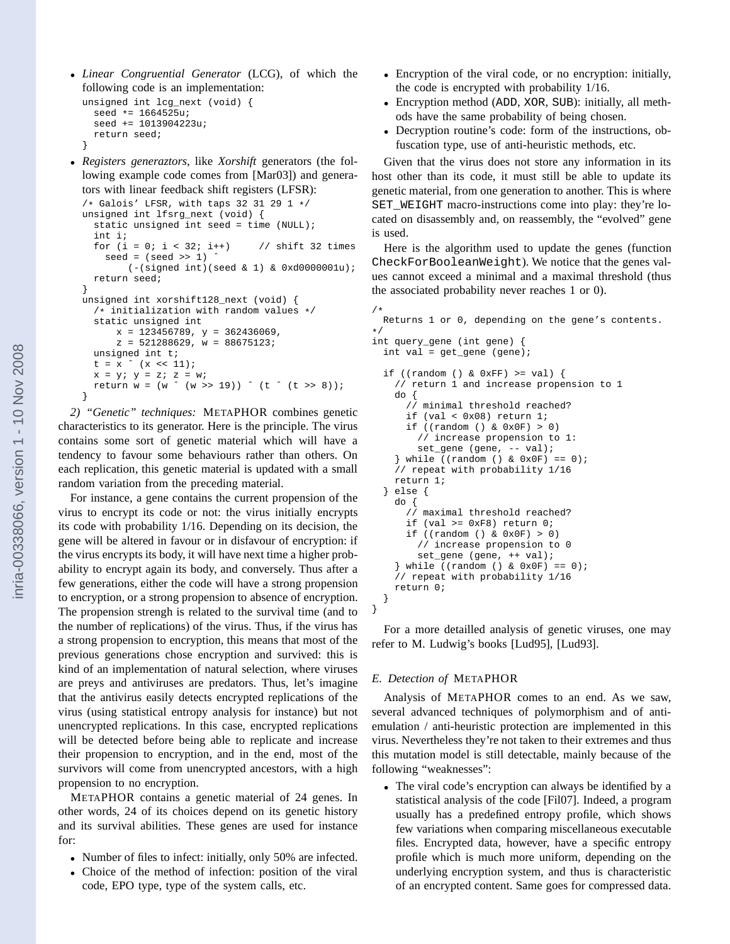• *Linear Congruential Generator* (LCG), of which the following code is an implementation:

```
unsigned int lcg_next (void) {
  seed * = 1664525useed += 1013904223u;
  return seed;
}
```
• *Registers generaztors*, like *Xorshift* generators (the following example code comes from [Mar03]) and generators with linear feedback shift registers (LFSR):

```
/* Galois' LFSR, with taps 32 31 29 1 */
unsigned int lfsrg_next (void) {
  static unsigned int seed = time (NULL);
  int i;
  for (i = 0; i < 32; i++) // shift 32 times
    seed = (seed >> 1)(- (signed int)(seed & 1) & 0xd0000001u);return seed;
}
unsigned int xorshift128_next (void) {
  /* initialization with random values */
  static unsigned int
      x = 123456789, y = 362436069,z = 521288629, w = 88675123;
  unsigned int t;
  t = x (x \ll 11);x = y; y = zi; z = wi;return w = (w \land (w \gg 19)) \land (t \land (t \gg 8));}
```
*2) "Genetic" techniques:* METAPHOR combines genetic characteristics to its generator. Here is the principle. The virus contains some sort of genetic material which will have a tendency to favour some behaviours rather than others. On each replication, this genetic material is updated with a small random variation from the preceding material.

For instance, a gene contains the current propension of the virus to encrypt its code or not: the virus initially encrypts its code with probability 1/16. Depending on its decision, the gene will be altered in favour or in disfavour of encryption: if the virus encrypts its body, it will have next time a higher probability to encrypt again its body, and conversely. Thus after a few generations, either the code will have a strong propension to encryption, or a strong propension to absence of encryption. The propension strengh is related to the survival time (and to the number of replications) of the virus. Thus, if the virus has a strong propension to encryption, this means that most of the previous generations chose encryption and survived: this is kind of an implementation of natural selection, where viruses are preys and antiviruses are predators. Thus, let's imagine that the antivirus easily detects encrypted replications of the virus (using statistical entropy analysis for instance) but not unencrypted replications. In this case, encrypted replications will be detected before being able to replicate and increase their propension to encryption, and in the end, most of the survivors will come from unencrypted ancestors, with a high propension to no encryption.

METAPHOR contains a genetic material of 24 genes. In other words, 24 of its choices depend on its genetic history and its survival abilities. These genes are used for instance for:

- Number of files to infect: initially, only 50% are infected.
- Choice of the method of infection: position of the viral code, EPO type, type of the system calls, etc.
- Encryption of the viral code, or no encryption: initially, the code is encrypted with probability 1/16.
- Encryption method (ADD, XOR, SUB): initially, all methods have the same probability of being chosen.
- Decryption routine's code: form of the instructions, obfuscation type, use of anti-heuristic methods, etc.

Given that the virus does not store any information in its host other than its code, it must still be able to update its genetic material, from one generation to another. This is where SET\_WEIGHT macro-instructions come into play: they're located on disassembly and, on reassembly, the "evolved" gene is used.

Here is the algorithm used to update the genes (function CheckForBooleanWeight). We notice that the genes values cannot exceed a minimal and a maximal threshold (thus the associated probability never reaches 1 or 0).

```
/ \starReturns 1 or 0, depending on the gene's contents.
*/
int query_gene (int gene) {
 int val = get\_gene (gene);
 if ((random () & 0xFF) >= val) {
    // return 1 and increase propension to 1
   do {
      // minimal threshold reached?
      if (val < 0x08) return 1;
      if ((random () & 0x0F) > 0)
        // increase propension to 1:
        set_gene (gene, -- val);
    \} while ((random () & 0x0F) == 0);
    // repeat with probability 1/16
   return 1;
 } else {
   do {
      // maximal threshold reached?
      if (val >= 0xF8) return 0;
      if ((random () & 0x0F) > 0)
        // increase propension to 0
        set_gene (gene, ++ val);
    \} while ((random () & 0x0F) == 0);
    // repeat with probability 1/16
   return 0;
 }
}
```
For a more detailled analysis of genetic viruses, one may refer to M. Ludwig's books [Lud95], [Lud93].

# *E. Detection of* METAPHOR

Analysis of METAPHOR comes to an end. As we saw, several advanced techniques of polymorphism and of antiemulation / anti-heuristic protection are implemented in this virus. Nevertheless they're not taken to their extremes and thus this mutation model is still detectable, mainly because of the following "weaknesses":

• The viral code's encryption can always be identified by a statistical analysis of the code [Fil07]. Indeed, a program usually has a predefined entropy profile, which shows few variations when comparing miscellaneous executable files. Encrypted data, however, have a specific entropy profile which is much more uniform, depending on the underlying encryption system, and thus is characteristic of an encrypted content. Same goes for compressed data.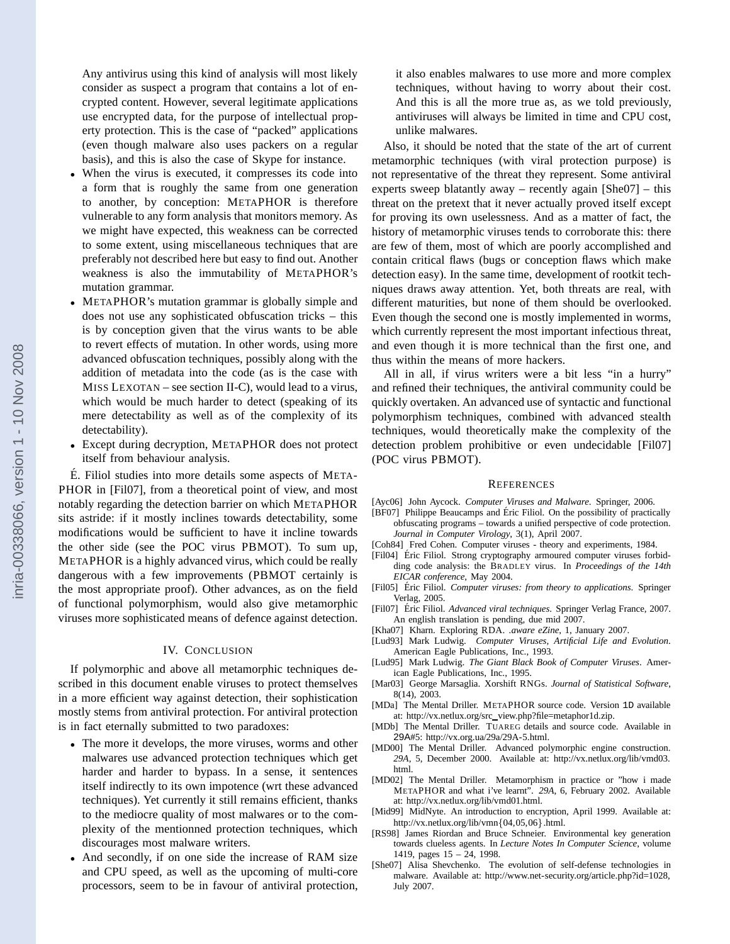Any antivirus using this kind of analysis will most likely consider as suspect a program that contains a lot of encrypted content. However, several legitimate applications use encrypted data, for the purpose of intellectual property protection. This is the case of "packed" applications (even though malware also uses packers on a regular basis), and this is also the case of Skype for instance.

- When the virus is executed, it compresses its code into a form that is roughly the same from one generation to another, by conception: METAPHOR is therefore vulnerable to any form analysis that monitors memory. As we might have expected, this weakness can be corrected to some extent, using miscellaneous techniques that are preferably not described here but easy to find out. Another weakness is also the immutability of METAPHOR's mutation grammar.
- METAPHOR's mutation grammar is globally simple and does not use any sophisticated obfuscation tricks – this is by conception given that the virus wants to be able to revert effects of mutation. In other words, using more advanced obfuscation techniques, possibly along with the addition of metadata into the code (as is the case with MISS LEXOTAN – see section II-C), would lead to a virus, which would be much harder to detect (speaking of its mere detectability as well as of the complexity of its detectability).
- Except during decryption, METAPHOR does not protect itself from behaviour analysis.

 $\acute{E}$ . Filiol studies into more details some aspects of META-PHOR in [Fil07], from a theoretical point of view, and most notably regarding the detection barrier on which METAPHOR sits astride: if it mostly inclines towards detectability, some modifications would be sufficient to have it incline towards the other side (see the POC virus PBMOT). To sum up, METAPHOR is a highly advanced virus, which could be really dangerous with a few improvements (PBMOT certainly is the most appropriate proof). Other advances, as on the field of functional polymorphism, would also give metamorphic viruses more sophisticated means of defence against detection.

## IV. CONCLUSION

If polymorphic and above all metamorphic techniques described in this document enable viruses to protect themselves in a more efficient way against detection, their sophistication mostly stems from antiviral protection. For antiviral protection is in fact eternally submitted to two paradoxes:

- The more it develops, the more viruses, worms and other malwares use advanced protection techniques which get harder and harder to bypass. In a sense, it sentences itself indirectly to its own impotence (wrt these advanced techniques). Yet currently it still remains efficient, thanks to the mediocre quality of most malwares or to the complexity of the mentionned protection techniques, which discourages most malware writers.
- And secondly, if on one side the increase of RAM size and CPU speed, as well as the upcoming of multi-core processors, seem to be in favour of antiviral protection,

it also enables malwares to use more and more complex techniques, without having to worry about their cost. And this is all the more true as, as we told previously, antiviruses will always be limited in time and CPU cost, unlike malwares.

Also, it should be noted that the state of the art of current metamorphic techniques (with viral protection purpose) is not representative of the threat they represent. Some antiviral experts sweep blatantly away – recently again [She07] – this threat on the pretext that it never actually proved itself except for proving its own uselessness. And as a matter of fact, the history of metamorphic viruses tends to corroborate this: there are few of them, most of which are poorly accomplished and contain critical flaws (bugs or conception flaws which make detection easy). In the same time, development of rootkit techniques draws away attention. Yet, both threats are real, with different maturities, but none of them should be overlooked. Even though the second one is mostly implemented in worms, which currently represent the most important infectious threat, and even though it is more technical than the first one, and thus within the means of more hackers.

All in all, if virus writers were a bit less "in a hurry" and refined their techniques, the antiviral community could be quickly overtaken. An advanced use of syntactic and functional polymorphism techniques, combined with advanced stealth techniques, would theoretically make the complexity of the detection problem prohibitive or even undecidable [Fil07] (POC virus PBMOT).

#### **REFERENCES**

- [Ayc06] John Aycock. *Computer Viruses and Malware*. Springer, 2006.
- [BF07] Philippe Beaucamps and Éric Filiol. On the possibility of practically obfuscating programs – towards a unified perspective of code protection. *Journal in Computer Virology*, 3(1), April 2007.
- [Coh84] Fred Cohen. Computer viruses theory and experiments, 1984.
- [Fil04] Éric Filiol. Strong cryptography armoured computer viruses forbidding code analysis: the BRADLEY virus. In *Proceedings of the 14th EICAR conference*, May 2004.
- [Fil05] Éric Filiol. Computer viruses: from theory to applications. Springer Verlag, 2005.
- [Fil07] Éric Filiol. Advanced viral techniques. Springer Verlag France, 2007. An english translation is pending, due mid 2007.
- [Kha07] Kharn. Exploring RDA. *.aware eZine*, 1, January 2007.
- [Lud93] Mark Ludwig. *Computer Viruses, Artificial Life and Evolution*. American Eagle Publications, Inc., 1993.
- [Lud95] Mark Ludwig. *The Giant Black Book of Computer Viruses*. American Eagle Publications, Inc., 1995.
- [Mar03] George Marsaglia. Xorshift RNGs. *Journal of Statistical Software*, 8(14), 2003.
- [MDa] The Mental Driller. METAPHOR source code. Version 1D available at: http://vx.netlux.org/src view.php?file=metaphor1d.zip.
- [MDb] The Mental Driller. TUAREG details and source code. Available in 29A#5: http://vx.org.ua/29a/29A-5.html.
- [MD00] The Mental Driller. Advanced polymorphic engine construction. *29A*, 5, December 2000. Available at: http://vx.netlux.org/lib/vmd03. html.
- [MD02] The Mental Driller. Metamorphism in practice or "how i made METAPHOR and what i've learnt". *29A*, 6, February 2002. Available at: http://vx.netlux.org/lib/vmd01.html.
- [Mid99] MidNyte. An introduction to encryption, April 1999. Available at: http://vx.netlux.org/lib/vmn{04,05,06}.html.
- [RS98] James Riordan and Bruce Schneier. Environmental key generation towards clueless agents. In *Lecture Notes In Computer Science*, volume 1419, pages 15 – 24, 1998.
- [She07] Alisa Shevchenko. The evolution of self-defense technologies in malware. Available at: http://www.net-security.org/article.php?id=1028, July 2007.